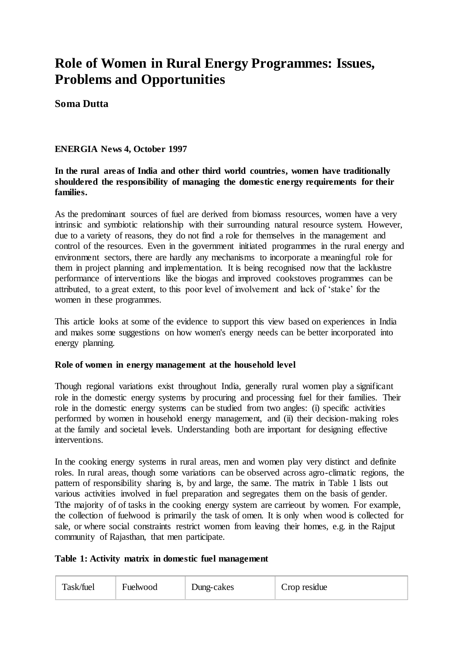# **Role of Women in Rural Energy Programmes: Issues, Problems and Opportunities**

# **Soma Dutta**

# **ENERGIA News 4, October 1997**

# **In the rural areas of India and other third world countries, women have traditionally shouldered the responsibility of managing the domestic energy requirements for their families.**

As the predominant sources of fuel are derived from biomass resources, women have a very intrinsic and symbiotic relationship with their surrounding natural resource system. However, due to a variety of reasons, they do not find a role for themselves in the management and control of the resources. Even in the government initiated programmes in the rural energy and environment sectors, there are hardly any mechanisms to incorporate a meaningful role for them in project planning and implementation. It is being recognised now that the lacklustre performance of interventions like the biogas and improved cookstoves programmes can be attributed, to a great extent, to this poor level of involvement and lack of 'stake' for the women in these programmes.

This article looks at some of the evidence to support this view based on experiences in India and makes some suggestions on how women's energy needs can be better incorporated into energy planning.

## **Role of women in energy management at the household level**

Though regional variations exist throughout India, generally rural women play a significant role in the domestic energy systems by procuring and processing fuel for their families. Their role in the domestic energy systems can be studied from two angles: (i) specific activities performed by women in household energy management, and (ii) their decision-making roles at the family and societal levels. Understanding both are important for designing effective interventions.

In the cooking energy systems in rural areas, men and women play very distinct and definite roles. In rural areas, though some variations can be observed across agro-climatic regions, the pattern of responsibility sharing is, by and large, the same. The matrix in Table 1 lists out various activities involved in fuel preparation and segregates them on the basis of gender. Tthe majority of of tasks in the cooking energy system are carrieout by women. For example, the collection of fuelwood is primarily the task of omen. It is only when wood is collected for sale, or where social constraints restrict women from leaving their homes, e.g. in the Rajput community of Rajasthan, that men participate.

## **Table 1: Activity matrix in domestic fuel management**

| Task/fuel | Fuelwood | Dung-cakes | Crop residue |
|-----------|----------|------------|--------------|
|-----------|----------|------------|--------------|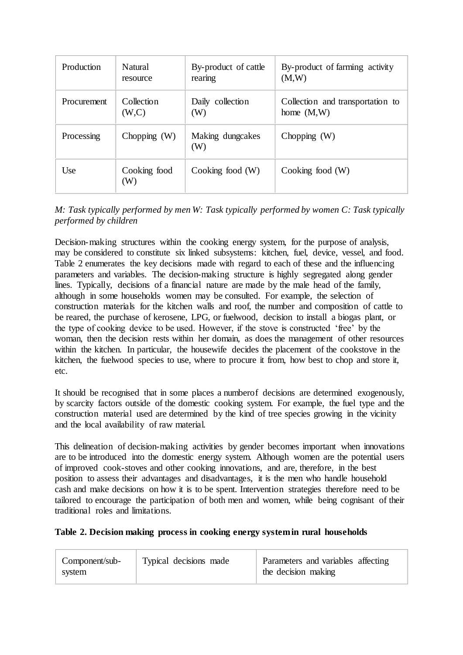| Production         | Natural             | By-product of cattle    | By-product of farming activity   |
|--------------------|---------------------|-------------------------|----------------------------------|
|                    | resource            | rearing                 | (M,W)                            |
| <b>Procurement</b> | Collection          | Daily collection        | Collection and transportation to |
|                    | (W, C)              | (W)                     | home $(M,W)$                     |
| Processing         | Chopping $(W)$      | Making dungcakes<br>(W) | Chopping $(W)$                   |
| Use                | Cooking food<br>(W) | Cooking food $(W)$      | Cooking food $(W)$               |

*M: Task typically performed by men W: Task typically performed by women C: Task typically performed by children*

Decision-making structures within the cooking energy system, for the purpose of analysis, may be considered to constitute six linked subsystems: kitchen, fuel, device, vessel, and food. Table 2 enumerates the key decisions made with regard to each of these and the influencing parameters and variables. The decision-making structure is highly segregated along gender lines. Typically, decisions of a financial nature are made by the male head of the family, although in some households women may be consulted. For example, the selection of construction materials for the kitchen walls and roof, the number and composition of cattle to be reared, the purchase of kerosene, LPG, or fuelwood, decision to install a biogas plant, or the type of cooking device to be used. However, if the stove is constructed 'free' by the woman, then the decision rests within her domain, as does the management of other resources within the kitchen. In particular, the housewife decides the placement of the cookstove in the kitchen, the fuelwood species to use, where to procure it from, how best to chop and store it, etc.

It should be recognised that in some places a numberof decisions are determined exogenously, by scarcity factors outside of the domestic cooking system. For example, the fuel type and the construction material used are determined by the kind of tree species growing in the vicinity and the local availability of raw material.

This delineation of decision-making activities by gender becomes important when innovations are to be introduced into the domestic energy system. Although women are the potential users of improved cook-stoves and other cooking innovations, and are, therefore, in the best position to assess their advantages and disadvantages, it is the men who handle household cash and make decisions on how it is to be spent. Intervention strategies therefore need to be tailored to encourage the participation of both men and women, while being cognisant of their traditional roles and limitations.

## **Table 2. Decision making process in cooking energy system in rural households**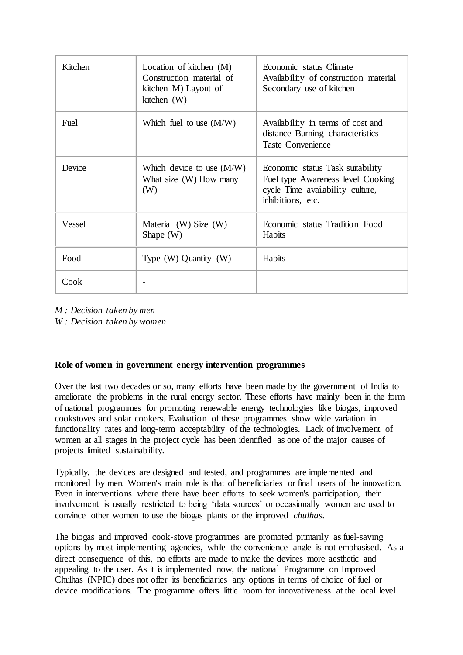| Kitchen | Location of kitchen (M)<br>Construction material of<br>kitchen M) Layout of<br>kitchen (W) | Economic status Climate<br>Availability of construction material<br>Secondary use of kitchen                                   |
|---------|--------------------------------------------------------------------------------------------|--------------------------------------------------------------------------------------------------------------------------------|
| Fuel    | Which fuel to use $(M/W)$                                                                  | Availability in terms of cost and<br>distance Burning characteristics<br><b>Taste Convenience</b>                              |
| Device  | Which device to use $(M/W)$<br>What size (W) How many<br>(W)                               | Economic status Task suitability<br>Fuel type Awareness level Cooking<br>cycle Time availability culture,<br>inhibitions, etc. |
| Vessel  | Material (W) Size (W)<br>Shape $(W)$                                                       | Economic status Tradition Food<br><b>Habits</b>                                                                                |
| Food    | Type $(W)$ Quantity $(W)$                                                                  | <b>Habits</b>                                                                                                                  |
| Cook    |                                                                                            |                                                                                                                                |

*M : Decision taken by men* 

*W : Decision taken by women*

## **Role of women in government energy intervention programmes**

Over the last two decades or so, many efforts have been made by the government of India to ameliorate the problems in the rural energy sector. These efforts have mainly been in the form of national programmes for promoting renewable energy technologies like biogas, improved cookstoves and solar cookers. Evaluation of these programmes show wide variation in functionality rates and long-term acceptability of the technologies. Lack of involvement of women at all stages in the project cycle has been identified as one of the major causes of projects limited sustainability.

Typically, the devices are designed and tested, and programmes are implemented and monitored by men. Women's main role is that of beneficiaries or final users of the innovation. Even in interventions where there have been efforts to seek women's participation, their involvement is usually restricted to being 'data sources' or occasionally women are used to convince other women to use the biogas plants or the improved *chulhas*.

The biogas and improved cook-stove programmes are promoted primarily as fuel-saving options by most implementing agencies, while the convenience angle is not emphasised. As a direct consequence of this, no efforts are made to make the devices more aesthetic and appealing to the user. As it is implemented now, the national Programme on Improved Chulhas (NPIC) does not offer its beneficiaries any options in terms of choice of fuel or device modifications. The programme offers little room for innovativeness at the local level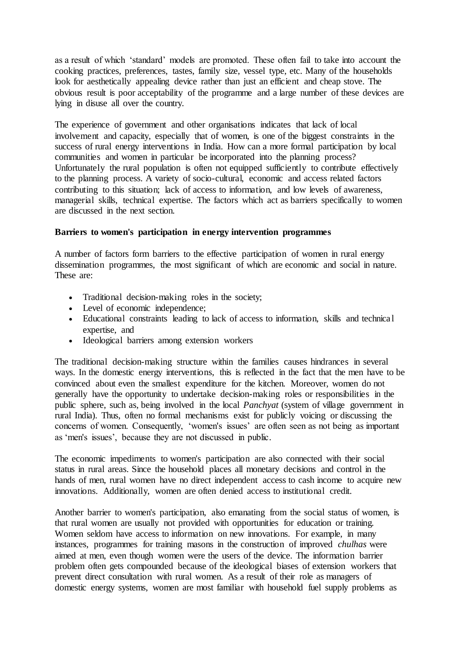as a result of which 'standard' models are promoted. These often fail to take into account the cooking practices, preferences, tastes, family size, vessel type, etc. Many of the households look for aesthetically appealing device rather than just an efficient and cheap stove. The obvious result is poor acceptability of the programme and a large number of these devices are lying in disuse all over the country.

The experience of government and other organisations indicates that lack of local involvement and capacity, especially that of women, is one of the biggest constraints in the success of rural energy interventions in India. How can a more formal participation by local communities and women in particular be incorporated into the planning process? Unfortunately the rural population is often not equipped sufficiently to contribute effectively to the planning process. A variety of socio-cultural, economic and access related factors contributing to this situation; lack of access to information, and low levels of awareness, managerial skills, technical expertise. The factors which act as barriers specifically to women are discussed in the next section.

# **Barriers to women's participation in energy intervention programmes**

A number of factors form barriers to the effective participation of women in rural energy dissemination programmes, the most significant of which are economic and social in nature. These are:

- Traditional decision-making roles in the society;
- Level of economic independence;
- Educational constraints leading to lack of access to information, skills and technical expertise, and
- Ideological barriers among extension workers

The traditional decision-making structure within the families causes hindrances in several ways. In the domestic energy interventions, this is reflected in the fact that the men have to be convinced about even the smallest expenditure for the kitchen. Moreover, women do not generally have the opportunity to undertake decision-making roles or responsibilities in the public sphere, such as, being involved in the local *Panchyat* (system of village government in rural India). Thus, often no formal mechanisms exist for publicly voicing or discussing the concerns of women. Consequently, 'women's issues' are often seen as not being as important as 'men's issues', because they are not discussed in public.

The economic impediments to women's participation are also connected with their social status in rural areas. Since the household places all monetary decisions and control in the hands of men, rural women have no direct independent access to cash income to acquire new innovations. Additionally, women are often denied access to institutional credit.

Another barrier to women's participation, also emanating from the social status of women, is that rural women are usually not provided with opportunities for education or training. Women seldom have access to information on new innovations. For example, in many instances, programmes for training masons in the construction of improved *chulhas* were aimed at men, even though women were the users of the device. The information barrier problem often gets compounded because of the ideological biases of extension workers that prevent direct consultation with rural women. As a result of their role as managers of domestic energy systems, women are most familiar with household fuel supply problems as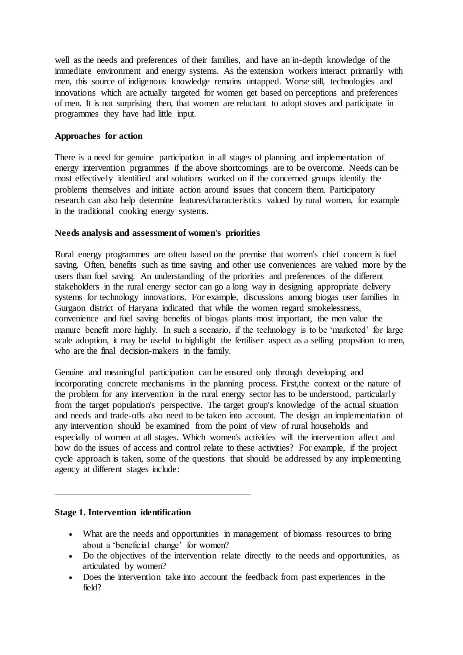well as the needs and preferences of their families, and have an in-depth knowledge of the immediate environment and energy systems. As the extension workers interact primarily with men, this source of indigenous knowledge remains untapped. Worse still, technologies and innovations which are actually targeted for women get based on perceptions and preferences of men. It is not surprising then, that women are reluctant to adopt stoves and participate in programmes they have had little input.

# **Approaches for action**

There is a need for genuine participation in all stages of planning and implementation of energy intervention prgrammes if the above shortcomings are to be overcome. Needs can be most effectively identified and solutions worked on if the concerned groups identify the problems themselves and initiate action around issues that concern them. Participatory research can also help determine features/characteristics valued by rural women, for example in the traditional cooking energy systems.

## **Needs analysis and assessment of women's priorities**

Rural energy programmes are often based on the premise that women's chief concern is fuel saving. Often, benefits such as time saving and other use conveniences are valued more by the users than fuel saving. An understanding of the priorities and preferences of the different stakeholders in the rural energy sector can go a long way in designing appropriate delivery systems for technology innovations. For example, discussions among biogas user families in Gurgaon district of Haryana indicated that while the women regard smokelessness, convenience and fuel saving benefits of biogas plants most important, the men value the manure benefit more highly. In such a scenario, if the technology is to be 'marketed' for large scale adoption, it may be useful to highlight the fertiliser aspect as a selling propsition to men, who are the final decision-makers in the family.

Genuine and meaningful participation can be ensured only through developing and incorporating concrete mechanisms in the planning process. First,the context or the nature of the problem for any intervention in the rural energy sector has to be understood, particularly from the target population's perspective. The target group's knowledge of the actual situation and needs and trade-offs also need to be taken into account. The design an implementation of any intervention should be examined from the point of view of rural households and especially of women at all stages. Which women's activities will the intervention affect and how do the issues of access and control relate to these activities? For example, if the project cycle approach is taken, some of the questions that should be addressed by any implementing agency at different stages include:

## **Stage 1. Intervention identification**

\_\_\_\_\_\_\_\_\_\_\_\_\_\_\_\_\_\_\_\_\_\_\_\_\_\_\_\_\_\_\_\_\_\_\_\_\_\_\_\_\_\_

- What are the needs and opportunities in management of biomass resources to bring about a 'beneficial change' for women?
- Do the objectives of the intervention relate directly to the needs and opportunities, as articulated by women?
- Does the intervention take into account the feedback from past experiences in the field?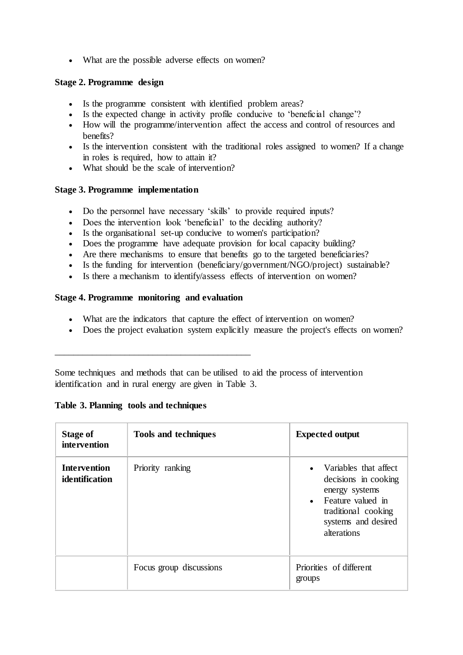What are the possible adverse effects on women?

# **Stage 2. Programme design**

- Is the programme consistent with identified problem areas?
- Is the expected change in activity profile conducive to 'beneficial change'?
- How will the programme/intervention affect the access and control of resources and benefits?
- Is the intervention consistent with the traditional roles assigned to women? If a change in roles is required, how to attain it?
- What should be the scale of intervention?

# **Stage 3. Programme implementation**

- Do the personnel have necessary 'skills' to provide required inputs?
- Does the intervention look 'beneficial' to the deciding authority?
- Is the organisational set-up conducive to women's participation?
- Does the programme have adequate provision for local capacity building?
- Are there mechanisms to ensure that benefits go to the targeted beneficiaries?
- Is the funding for intervention (beneficiary/government/NGO/project) sustainable?
- Is there a mechanism to identify/assess effects of intervention on women?

## **Stage 4. Programme monitoring and evaluation**

\_\_\_\_\_\_\_\_\_\_\_\_\_\_\_\_\_\_\_\_\_\_\_\_\_\_\_\_\_\_\_\_\_\_\_\_\_\_\_\_\_\_

- What are the indicators that capture the effect of intervention on women?
- Does the project evaluation system explicitly measure the project's effects on women?

Some techniques and methods that can be utilised to aid the process of intervention identification and in rural energy are given in Table 3.

| <b>Stage of</b><br>intervention       | <b>Tools and techniques</b> | <b>Expected output</b>                                                                                                                                |
|---------------------------------------|-----------------------------|-------------------------------------------------------------------------------------------------------------------------------------------------------|
| <b>Intervention</b><br>identification | Priority ranking            | • Variables that affect<br>decisions in cooking<br>energy systems<br>• Feature valued in<br>traditional cooking<br>systems and desired<br>alterations |
|                                       | Focus group discussions     | Priorities of different<br>groups                                                                                                                     |

## **Table 3. Planning tools and techniques**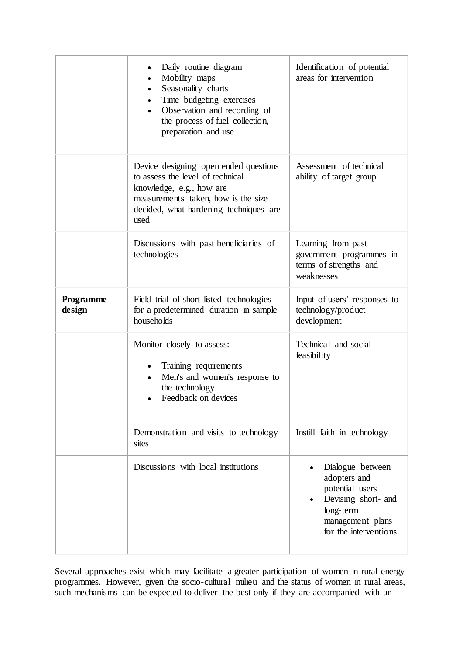|                     | Daily routine diagram<br>Mobility maps<br>Seasonality charts<br>Time budgeting exercises<br>$\bullet$<br>Observation and recording of<br>$\bullet$<br>the process of fuel collection,<br>preparation and use | Identification of potential<br>areas for intervention                                                                                |
|---------------------|--------------------------------------------------------------------------------------------------------------------------------------------------------------------------------------------------------------|--------------------------------------------------------------------------------------------------------------------------------------|
|                     | Device designing open ended questions<br>to assess the level of technical<br>knowledge, e.g., how are<br>measurements taken, how is the size<br>decided, what hardening techniques are<br>used               | Assessment of technical<br>ability of target group                                                                                   |
|                     | Discussions with past beneficiaries of<br>technologies                                                                                                                                                       | Learning from past<br>government programmes in<br>terms of strengths and<br>weaknesses                                               |
| Programme<br>design | Field trial of short-listed technologies<br>for a predetermined duration in sample<br>households                                                                                                             | Input of users' responses to<br>technology/product<br>development                                                                    |
|                     | Monitor closely to assess:<br>Training requirements<br>Men's and women's response to<br>the technology<br>Feedback on devices                                                                                | Technical and social<br>feasibility                                                                                                  |
|                     | Demonstration and visits to technology<br>sites                                                                                                                                                              | Instill faith in technology                                                                                                          |
|                     | Discussions with local institutions                                                                                                                                                                          | Dialogue between<br>adopters and<br>potential users<br>Devising short- and<br>long-term<br>management plans<br>for the interventions |

Several approaches exist which may facilitate a greater participation of women in rural energy programmes. However, given the socio-cultural milieu and the status of women in rural areas, such mechanisms can be expected to deliver the best only if they are accompanied with an